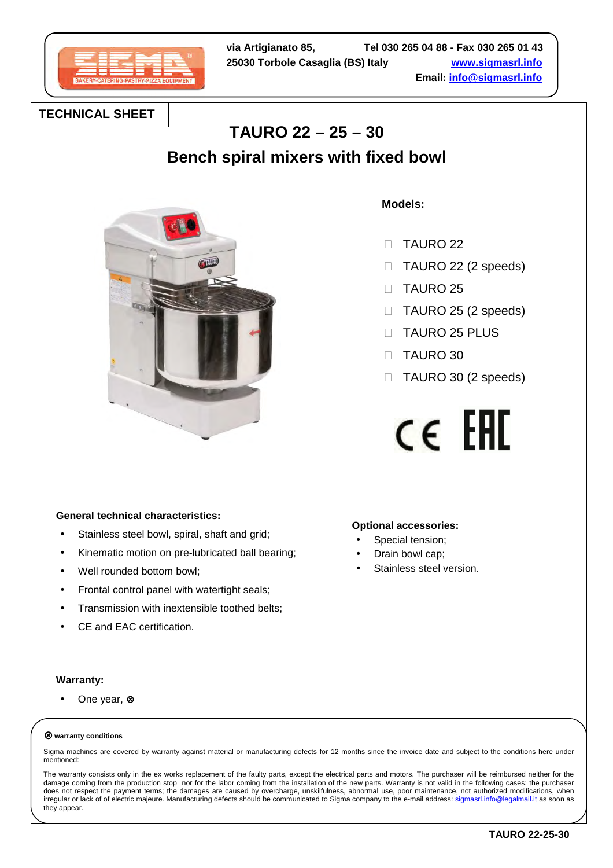

# **TECHNICAL SHEET**

# **TAURO 22 – 25 – 30**

**Bench spiral mixers with fixed bowl** 



 **Models:**

**Optional accessories:**  Special tension; Drain bowl cap;

Stainless steel version.

 TAURO 22 TAURO 22 (2 speeds) TAURO 25 TAURO 25 (2 speeds) TAURO 25 PLUS TAURO 30 TAURO 30 (2 speeds)

 $c \in F$ 

# **General technical characteristics:**

- Stainless steel bowl, spiral, shaft and grid;
- Kinematic motion on pre-lubricated ball bearing;
- Well rounded bottom bowl;
- Frontal control panel with watertight seals;
- Transmission with inextensible toothed belts;
- CE and EAC certification.

### **Warranty:**

• One year, ⊗

#### ⊗ **warranty conditions**

Sigma machines are covered by warranty against material or manufacturing defects for 12 months since the invoice date and subject to the conditions here under mentioned:

The warranty consists only in the ex works replacement of the faulty parts, except the electrical parts and motors. The purchaser will be reimbursed neither for the damage coming from the production stop nor for the labor coming from the installation of the new parts. Warranty is not valid in the following cases: the purchaser does not respect the payment terms; the damages are caused by overcharge, unskilfulness, abnormal use, poor maintenance, not authorized modifications, when irregular or lack of of electric majeure. Manufacturing defects should be communicated to Sigma company to the e-mail address: sigmasrl.info@legalmail.it as soon as they appear.